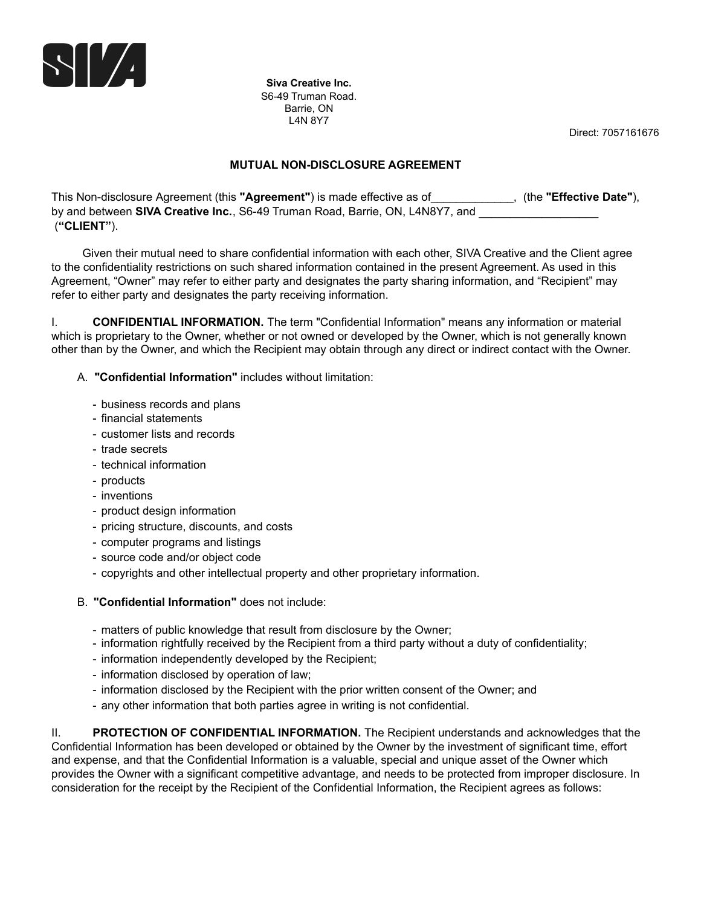

**Siva Creative Inc.** S6-49 Truman Road. Barrie, ON L4N 8Y7

Direct: 7057161676

## **MUTUAL NON-DISCLOSURE AGREEMENT**

This Non-disclosure Agreement (this **"Agreement"**) is made effective as of\_\_\_\_\_\_\_\_\_\_\_\_\_, (the **"Effective Date"**), by and between **SIVA Creative Inc.**, S6-49 Truman Road, Barrie, ON, L4N8Y7, and (**"CLIENT"**).

Given their mutual need to share confidential information with each other, SIVA Creative and the Client agree to the confidentiality restrictions on such shared information contained in the present Agreement. As used in this Agreement, "Owner" may refer to either party and designates the party sharing information, and "Recipient" may refer to either party and designates the party receiving information.

I. **CONFIDENTIAL INFORMATION.** The term "Confidential Information" means any information or material which is proprietary to the Owner, whether or not owned or developed by the Owner, which is not generally known other than by the Owner, and which the Recipient may obtain through any direct or indirect contact with the Owner.

A. **"Confidential Information"** includes without limitation:

- business records and plans
- financial statements
- customer lists and records
- trade secrets
- technical information
- products
- inventions
- product design information
- pricing structure, discounts, and costs
- computer programs and listings
- source code and/or object code
- copyrights and other intellectual property and other proprietary information.
- B. **"Confidential Information"** does not include:
	- matters of public knowledge that result from disclosure by the Owner;
	- information rightfully received by the Recipient from a third party without a duty of confidentiality;
	- information independently developed by the Recipient;
	- information disclosed by operation of law;
	- information disclosed by the Recipient with the prior written consent of the Owner; and
	- any other information that both parties agree in writing is not confidential.

II. **PROTECTION OF CONFIDENTIAL INFORMATION.** The Recipient understands and acknowledges that the Confidential Information has been developed or obtained by the Owner by the investment of significant time, effort and expense, and that the Confidential Information is a valuable, special and unique asset of the Owner which provides the Owner with a significant competitive advantage, and needs to be protected from improper disclosure. In consideration for the receipt by the Recipient of the Confidential Information, the Recipient agrees as follows: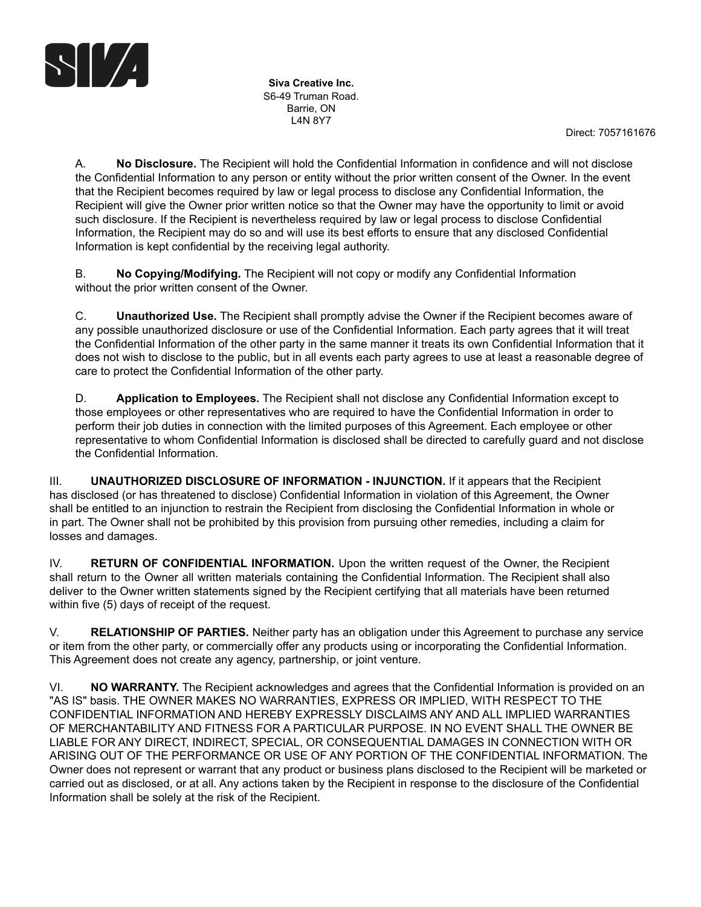

**Siva Creative Inc.** S6-49 Truman Road. Barrie, ON L4N 8Y7

Direct: 7057161676

A. **No Disclosure.** The Recipient will hold the Confidential Information in confidence and will not disclose the Confidential Information to any person or entity without the prior written consent of the Owner. In the event that the Recipient becomes required by law or legal process to disclose any Confidential Information, the Recipient will give the Owner prior written notice so that the Owner may have the opportunity to limit or avoid such disclosure. If the Recipient is nevertheless required by law or legal process to disclose Confidential Information, the Recipient may do so and will use its best efforts to ensure that any disclosed Confidential Information is kept confidential by the receiving legal authority.

B. **No Copying/Modifying.** The Recipient will not copy or modify any Confidential Information without the prior written consent of the Owner.

C. **Unauthorized Use.** The Recipient shall promptly advise the Owner if the Recipient becomes aware of any possible unauthorized disclosure or use of the Confidential Information. Each party agrees that it will treat the Confidential Information of the other party in the same manner it treats its own Confidential Information that it does not wish to disclose to the public, but in all events each party agrees to use at least a reasonable degree of care to protect the Confidential Information of the other party.

D. **Application to Employees.** The Recipient shall not disclose any Confidential Information except to those employees or other representatives who are required to have the Confidential Information in order to perform their job duties in connection with the limited purposes of this Agreement. Each employee or other representative to whom Confidential Information is disclosed shall be directed to carefully guard and not disclose the Confidential Information.

III. **UNAUTHORIZED DISCLOSURE OF INFORMATION - INJUNCTION.** If it appears that the Recipient has disclosed (or has threatened to disclose) Confidential Information in violation of this Agreement, the Owner shall be entitled to an injunction to restrain the Recipient from disclosing the Confidential Information in whole or in part. The Owner shall not be prohibited by this provision from pursuing other remedies, including a claim for losses and damages.

IV. **RETURN OF CONFIDENTIAL INFORMATION.** Upon the written request of the Owner, the Recipient shall return to the Owner all written materials containing the Confidential Information. The Recipient shall also deliver to the Owner written statements signed by the Recipient certifying that all materials have been returned within five (5) days of receipt of the request.

V. **RELATIONSHIP OF PARTIES.** Neither party has an obligation under this Agreement to purchase any service or item from the other party, or commercially offer any products using or incorporating the Confidential Information. This Agreement does not create any agency, partnership, or joint venture.

VI. **NO WARRANTY.** The Recipient acknowledges and agrees that the Confidential Information is provided on an "AS IS" basis. THE OWNER MAKES NO WARRANTIES, EXPRESS OR IMPLIED, WITH RESPECT TO THE CONFIDENTIAL INFORMATION AND HEREBY EXPRESSLY DISCLAIMS ANY AND ALL IMPLIED WARRANTIES OF MERCHANTABILITY AND FITNESS FOR A PARTICULAR PURPOSE. IN NO EVENT SHALL THE OWNER BE LIABLE FOR ANY DIRECT, INDIRECT, SPECIAL, OR CONSEQUENTIAL DAMAGES IN CONNECTION WITH OR ARISING OUT OF THE PERFORMANCE OR USE OF ANY PORTION OF THE CONFIDENTIAL INFORMATION. The Owner does not represent or warrant that any product or business plans disclosed to the Recipient will be marketed or carried out as disclosed, or at all. Any actions taken by the Recipient in response to the disclosure of the Confidential Information shall be solely at the risk of the Recipient.